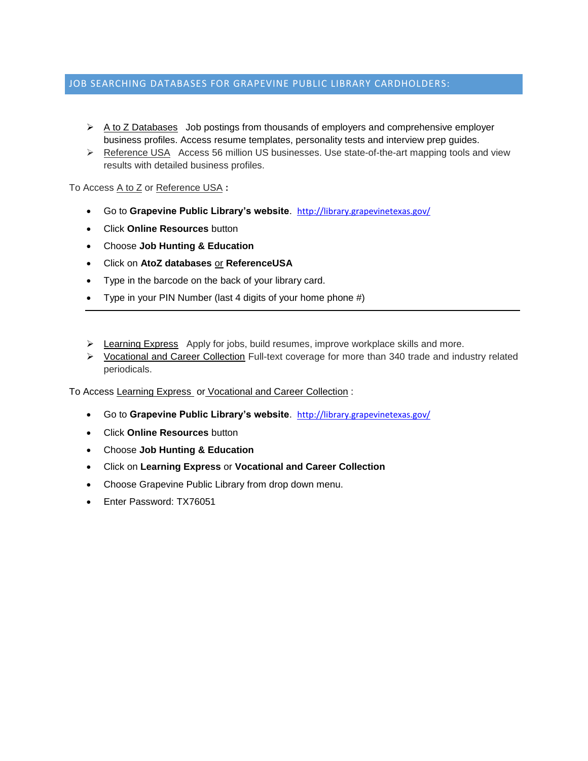### JOB SEARCHING DATABASES FOR GRAPEVINE PUBLIC LIBRARY CARDHOLDERS:

- $\triangleright$  A to Z Databases Job postings from thousands of employers and comprehensive employer business profiles. Access resume templates, personality tests and interview prep guides.
- ▶ Reference USA Access 56 million US businesses. Use state-of-the-art mapping tools and view results with detailed business profiles.

To Access A to Z or Reference USA **:**

- Go to **Grapevine Public Library's website**. [http://library.grapevinetexas.gov/](http://library.grapevinetexas.gov/1240/Library)
- Click **Online Resources** button
- Choose **Job Hunting & Education**
- Click on **AtoZ databases** or **ReferenceUSA**
- Type in the barcode on the back of your library card.
- Type in your PIN Number (last 4 digits of your home phone #)
- $\triangleright$  Learning Express Apply for jobs, build resumes, improve workplace skills and more.
- $\triangleright$  Vocational and Career Collection Full-text coverage for more than 340 trade and industry related periodicals.

To Access Learning Express or Vocational and Career Collection :

- Go to **Grapevine Public Library's website**. [http://library.grapevinetexas.gov/](http://library.grapevinetexas.gov/1240/Library)
- Click **Online Resources** button
- Choose **Job Hunting & Education**
- Click on **Learning Express** or **Vocational and Career Collection**
- Choose Grapevine Public Library from drop down menu.
- Enter Password: TX76051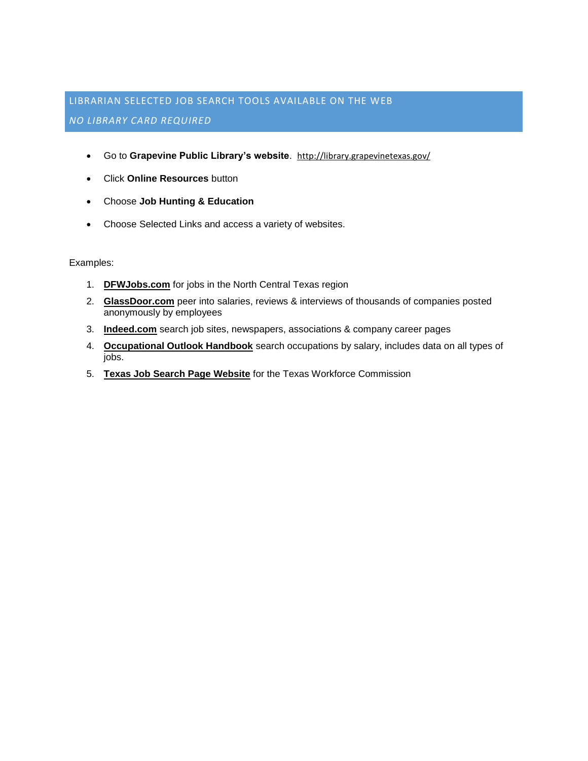# LIBRARIAN SELECTED JOB SEARCH TOOLS AVAILABLE ON THE WEB *NO LIBRARY CARD REQUIRED*

- Go to **Grapevine Public Library's website**. [http://library.grapevinetexas.gov/](http://library.grapevinetexas.gov/1240/Library)
- Click **Online Resources** button
- Choose **Job Hunting & Education**
- Choose Selected Links and access a variety of websites.

Examples:

- 1. **[DFWJobs.com](https://www.dfwjobs.com/)** for jobs in the North Central Texas region
- 2. **[GlassDoor.com](http://www.glassdoor.com/index.htm)** peer into salaries, reviews & interviews of thousands of companies posted anonymously by employees
- 3. **[Indeed.com](http://www.indeed.com/)** search job sites, newspapers, associations & company career pages
- 4. **[Occupational Outlook Handbook](http://www.bls.gov/ooh/)** search occupations by salary, includes data on all types of jobs.
- 5. **[Texas Job Search Page Website](http://www.twc.state.tx.us/)** for the Texas Workforce Commission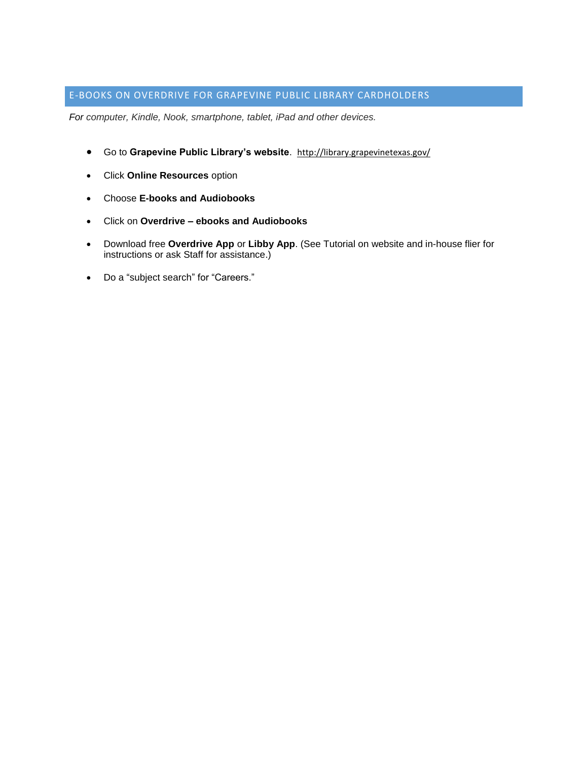## E-BOOKS ON OVERDRIVE FOR GRAPEVINE PUBLIC LIBRARY CARDHOLDERS

*For computer, Kindle, Nook, smartphone, tablet, iPad and other devices.*

- Go to **Grapevine Public Library's website**. [http://library.grapevinetexas.gov/](http://library.grapevinetexas.gov/1240/Library)
- Click **Online Resources** option
- Choose **E-books and Audiobooks**
- Click on **Overdrive – ebooks and Audiobooks**
- Download free **Overdrive App** or **Libby App**. (See Tutorial on website and in-house flier for instructions or ask Staff for assistance.)
- Do a "subject search" for "Careers."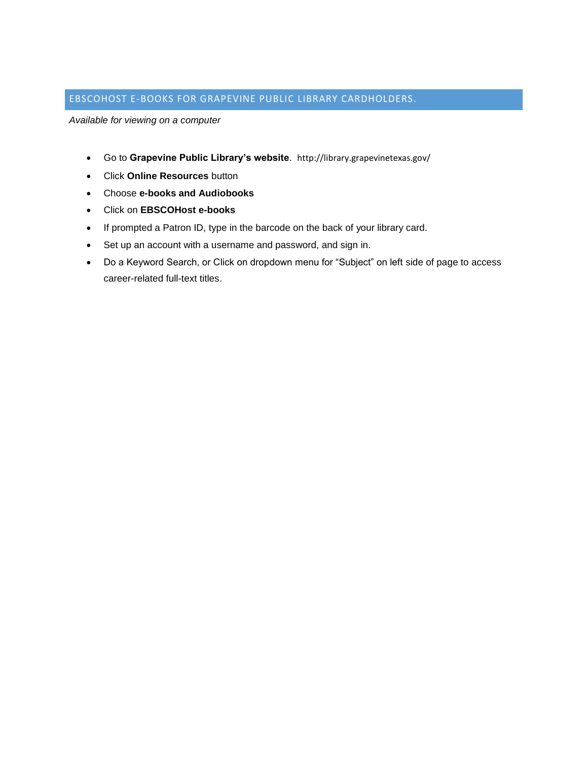## EBSCOHOST E-BOOKS FOR GRAPEVINE PUBLIC LIBRARY CARDHOLDERS.

*Available for viewing on a computer*

- Go to **Grapevine Public Library's website**. http://library.grapevinetexas.gov/
- Click **Online Resources** button
- Choose **e-books and Audiobooks**
- Click on **EBSCOHost e-books**
- If prompted a Patron ID, type in the barcode on the back of your library card.
- Set up an account with a username and password, and sign in.
- Do a Keyword Search, or Click on dropdown menu for "Subject" on left side of page to access career-related full-text titles.